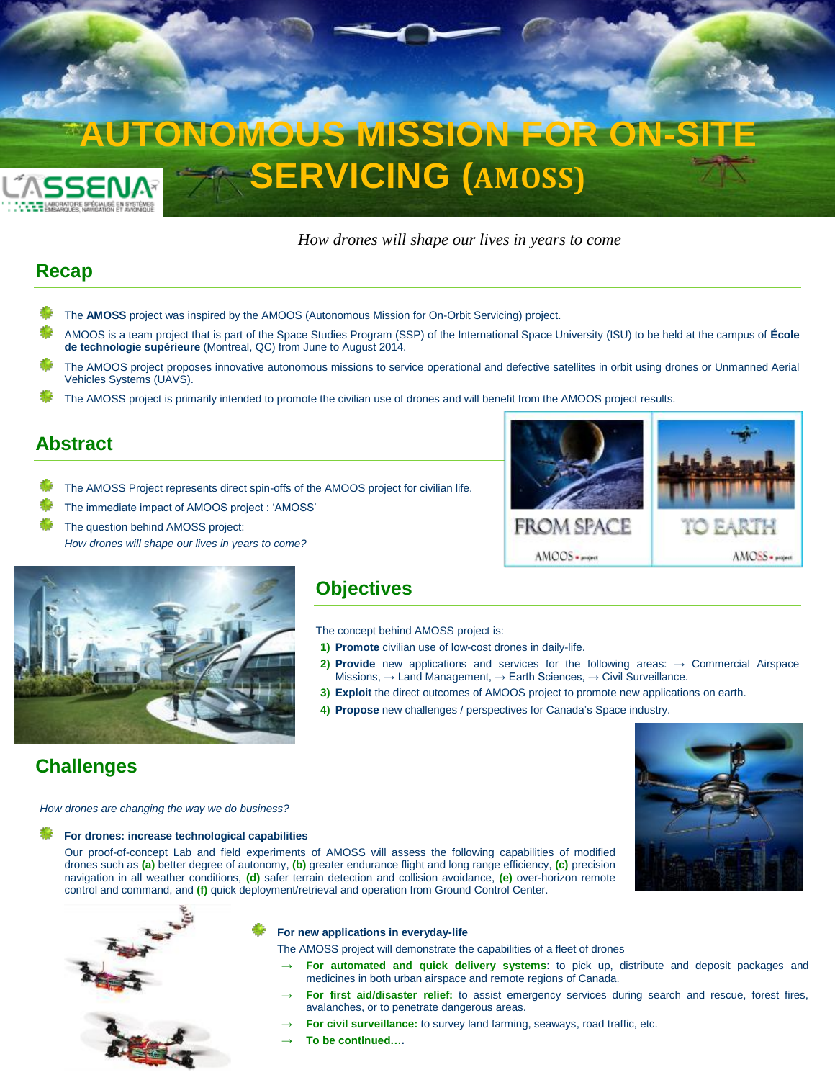# **EAUTONOMOUS MISSION FOR ON-SIT SERVICING (AMOSS) ASSEN**

### *How drones will shape our lives in years to come*

### **Recap**

- The **AMOSS** project was inspired by the AMOOS (Autonomous Mission for On-Orbit Servicing) project.
- AMOOS is a team project that is part of the Space Studies Program (SSP) of the International Space University (ISU) to be held at the campus of **École de technologie supérieure** (Montreal, QC) from June to August 2014.
- The AMOOS project proposes innovative autonomous missions to service operational and defective satellites in orbit using drones or Unmanned Aerial Vehicles Systems (UAVS).
- The AMOSS project is primarily intended to promote the civilian use of drones and will benefit from the AMOOS project results.

### **Abstract**

- The AMOSS Project represents direct spin-offs of the AMOOS project for civilian life.
- The immediate impact of AMOOS project : 'AMOSS'
- The question behind AMOSS project:
	- *How drones will shape our lives in years to come?*





### **Objectives**

The concept behind AMOSS project is:

- **1) Promote** civilian use of low-cost drones in daily-life.
- **2) Provide** new applications and services for the following areas: → Commercial Airspace Missions, → Land Management, → Earth Sciences, → Civil Surveillance.
- **3) Exploit** the direct outcomes of AMOOS project to promote new applications on earth.
- **4) Propose** new challenges / perspectives for Canada's Space industry.

## **Challenges**

*How drones are changing the way we do business?*

#### **For drones: increase technological capabilities**

Our proof-of-concept Lab and field experiments of AMOSS will assess the following capabilities of modified drones such as **(a)** better degree of autonomy, **(b)** greater endurance flight and long range efficiency, **(c)** precision navigation in all weather conditions, **(d)** safer terrain detection and collision avoidance, **(e)** over-horizon remote control and command, and **(f)** quick deployment/retrieval and operation from Ground Control Center.





#### **For new applications in everyday-life**

The AMOSS project will demonstrate the capabilities of a fleet of drones

- For automated and quick delivery systems: to pick up, distribute and deposit packages and medicines in both urban airspace and remote regions of Canada.
- For first aid/disaster relief: to assist emergency services during search and rescue, forest fires, avalanches, or to penetrate dangerous areas.
- For civil surveillance: to survey land farming, seaways, road traffic, etc.
- To be continued....